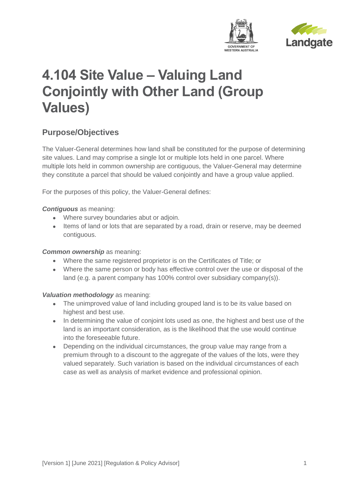



# **4.104 Site Value – Valuing Land Conjointly with Other Land (Group Values)**

## **Purpose/Objectives**

The Valuer-General determines how land shall be constituted for the purpose of determining site values. Land may comprise a single lot or multiple lots held in one parcel. Where multiple lots held in common ownership are contiguous, the Valuer-General may determine they constitute a parcel that should be valued conjointly and have a group value applied.

For the purposes of this policy, the Valuer-General defines:

#### *Contiguous* as meaning:

- Where survey boundaries abut or adjoin.
- Items of land or lots that are separated by a road, drain or reserve, may be deemed contiguous.

#### *Common ownership* as meaning:

- Where the same registered proprietor is on the Certificates of Title; or
- Where the same person or body has effective control over the use or disposal of the land (e.g. a parent company has 100% control over subsidiary company(s)).

#### *Valuation methodology* as meaning:

- The unimproved value of land including grouped land is to be its value based on highest and best use.
- In determining the value of conjoint lots used as one, the highest and best use of the land is an important consideration, as is the likelihood that the use would continue into the foreseeable future.
- Depending on the individual circumstances, the group value may range from a premium through to a discount to the aggregate of the values of the lots, were they valued separately. Such variation is based on the individual circumstances of each case as well as analysis of market evidence and professional opinion.